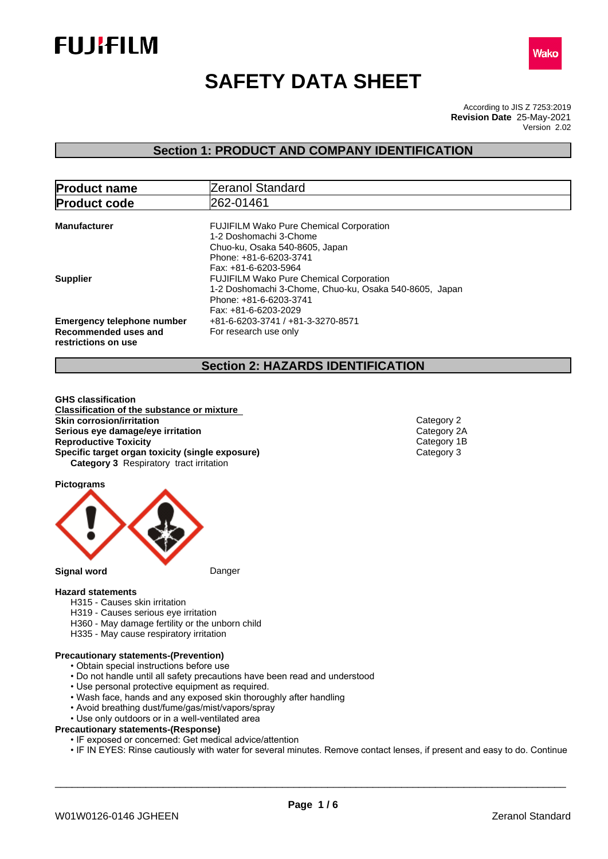



# **SAFETY DATA SHEET**

According to JIS Z 7253:2019 Version 2.02 **Revision Date** 25-May-2021

## **Section 1: PRODUCT AND COMPANY IDENTIFICATION**

| <b>Product name</b>                                                              | Zeranol Standard                                                                                                                                             |
|----------------------------------------------------------------------------------|--------------------------------------------------------------------------------------------------------------------------------------------------------------|
| <b>Product code</b>                                                              | 262-01461                                                                                                                                                    |
| <b>Manufacturer</b>                                                              | <b>FUJIFILM Wako Pure Chemical Corporation</b><br>1-2 Doshomachi 3-Chome<br>Chuo-ku, Osaka 540-8605, Japan<br>Phone: +81-6-6203-3741<br>Fax: +81-6-6203-5964 |
| <b>Supplier</b>                                                                  | <b>FUJIFILM Wako Pure Chemical Corporation</b><br>1-2 Doshomachi 3-Chome, Chuo-ku, Osaka 540-8605, Japan<br>Phone: +81-6-6203-3741<br>Fax: +81-6-6203-2029   |
| <b>Emergency telephone number</b><br>Recommended uses and<br>restrictions on use | +81-6-6203-3741 / +81-3-3270-8571<br>For research use only                                                                                                   |

## **Section 2: HAZARDS IDENTIFICATION**

**GHS classification Classification of the substance or mixture Skin corrosion/irritation**<br> **Serious eye damage/eye irritation**<br>
Category 2A **Serious eye damage/eye irritation**<br> **Reproductive Toxicity**<br> **Reproductive Toxicity Reproductive Toxicity**<br> **Specific target organ toxicity (single exposure)**<br>
Category 3 **Specific target organ toxicity (single exposure) Category 3** Respiratory tract irritation

**Pictograms**



- **Hazard statements** H315 - Causes skin irritation
	- H319 Causes serious eye irritation
	- H360 May damage fertility or the unborn child
	- H335 May cause respiratory irritation

#### **Precautionary statements-(Prevention)**

- Obtain special instructions before use
- Do not handle until all safety precautions have been read and understood
- Use personal protective equipment as required.
- Wash face, hands and any exposed skin thoroughly after handling
- Avoid breathing dust/fume/gas/mist/vapors/spray
- Use only outdoors or in a well-ventilated area

#### **Precautionary statements-(Response)**

- IF exposed or concerned: Get medical advice/attention
- IF IN EYES: Rinse cautiously with water for several minutes. Remove contact lenses, if present and easy to do. Continue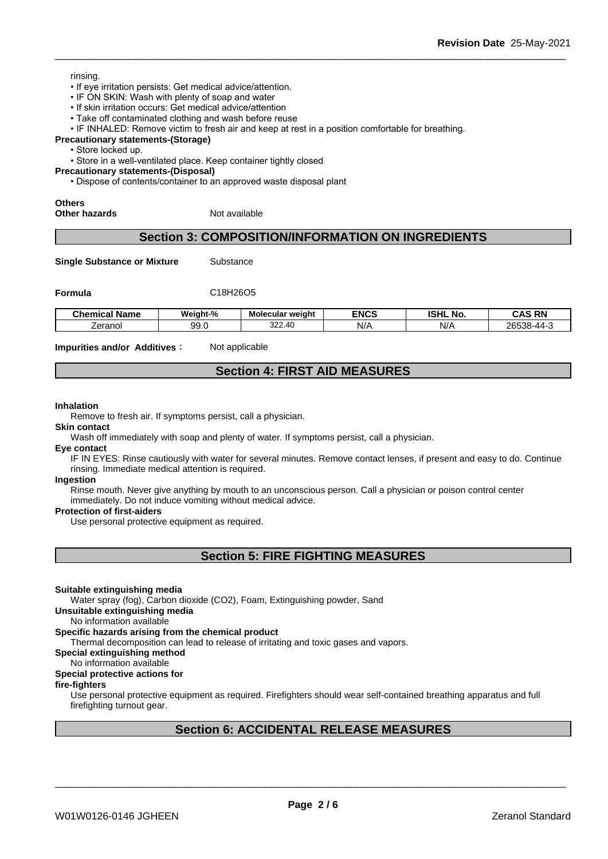- If eye irritation persists: Get medical advice/attention.
- IF ON SKIN: Wash with plenty of soap and water
- If skin irritation occurs: Get medical advice/attention
- Take off contaminated clothing and wash before reuse

• IF INHALED: Remove victim to fresh air and keep at rest in a position comfortable for breathing.

**Precautionary statements-(Storage)**

• Store locked up.

• Store in a well-ventilated place. Keep container tightly closed

**Precautionary statements-(Disposal)**

• Dispose of contents/container to an approved waste disposal plant

### **Others**

**Other hazards** Not available

## **Section 3: COMPOSITION/INFORMATION ON INGREDIENTS**

**Single Substance or Mixture** Substance

**Formula** C18H26O5

| <b>Chemical</b><br>∣ Name | Weight-%   | Molecular weight   | <b>ENCS</b> | <b>ISHL</b><br>. .<br><b>No</b> | <b>CAS RN</b>                    |
|---------------------------|------------|--------------------|-------------|---------------------------------|----------------------------------|
| ∠eranol                   | ۵a<br>JJ.U | ົດດ<br>.40<br>،∠∠د | N/A         | N/                              | 26538.<br>$-111 - 7$<br>-000<br> |

**Impurities and/or Additives**: Not applicable

## **Section 4: FIRST AID MEASURES**

#### **Inhalation**

Remove to fresh air. If symptoms persist, call a physician.

**Skin contact**

Wash off immediately with soap and plenty of water. If symptoms persist, call a physician.

#### **Eye contact**

IF IN EYES: Rinse cautiously with water for several minutes. Remove contact lenses, if present and easy to do. Continue rinsing. Immediate medical attention is required.

#### **Ingestion**

Rinse mouth. Never give anything by mouth to an unconscious person. Call a physician or poison control center immediately. Do not induce vomiting without medical advice.

#### **Protection of first-aiders**

Use personal protective equipment as required.

**Section 5: FIRE FIGHTING MEASURES**

#### **Suitable extinguishing media**

Water spray (fog), Carbon dioxide (CO2), Foam, Extinguishing powder, Sand

**Unsuitable extinguishing media**

No information available

#### **Specific hazards arising from the chemical product**

Thermal decomposition can lead to release of irritating and toxic gases and vapors.

## **Special extinguishing method**

### No information available

## **Special protective actions for**

### **fire-fighters**

Use personal protective equipment as required.Firefighters should wear self-contained breathing apparatus and full firefighting turnout gear.

## **Section 6: ACCIDENTAL RELEASE MEASURES**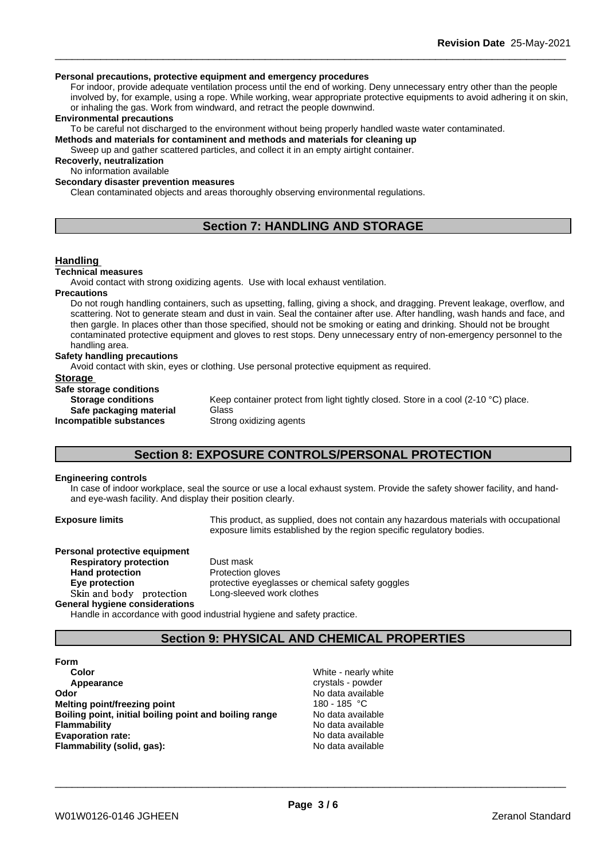#### **Personal precautions, protective equipment and emergency procedures**

For indoor, provide adequate ventilation process until the end of working. Deny unnecessary entry other than the people involved by, for example, using a rope. While working, wear appropriate protective equipments to avoid adhering it on skin, or inhaling the gas. Work from windward, and retract the people downwind.

#### **Environmental precautions**

To be careful not discharged to the environment without being properly handled waste water contaminated.

**Methods and materials for contaminent and methods and materials for cleaning up**

Sweep up and gather scattered particles, and collect it in an empty airtight container.

**Recoverly, neutralization**

No information available

### **Secondary disaster prevention measures**

Clean contaminated objects and areas thoroughly observing environmental regulations.

## **Section 7: HANDLING AND STORAGE**

### **Handling**

#### **Technical measures**

Avoid contact with strong oxidizing agents. Use with local exhaust ventilation.

**Precautions**

Do not rough handling containers, such as upsetting, falling, giving a shock, and dragging. Prevent leakage, overflow, and scattering. Not to generate steam and dust in vain. Seal the container after use. After handling, wash hands and face, and then gargle. In places other than those specified, should not be smoking or eating and drinking. Should not be brought contaminated protective equipment and gloves to rest stops. Deny unnecessary entry of non-emergency personnel to the handling area.

### **Safety handling precautions**

Avoid contact with skin, eyes or clothing. Use personal protective equipment as required.

#### **Storage**

**Safe storage conditions Safe packaging material Incompatible substances** Strong oxidizing agents

**Storage conditions** Keep container protect from light tightly closed. Store in a cool (2-10 °C) place.<br>Safe packaging material Glass

## **Section 8: EXPOSURE CONTROLS/PERSONAL PROTECTION**

#### **Engineering controls**

In case of indoor workplace, seal the source or use a local exhaust system. Provide the safety shower facility, and handand eye-wash facility. And display their position clearly.

**Exposure limits** This product, as supplied, does not contain any hazardous materials with occupational exposure limits established by the region specific regulatory bodies.

**Personal protective equipment Respiratory protection** Dust mask **Hand protection** Protection gloves **Skinandbody protection** Long-sleeved work clothes **General hygiene considerations**

**Eye protection Eye** protective eyeglasses or chemical safety goggles

Handle in accordance with good industrial hygiene and safety practice.

## **Section 9: PHYSICAL AND CHEMICAL PROPERTIES**

**Form Color** White - nearly white **Appearance** crystals - powder **Odor Odor** No data available **Melting point/freezing point and the Contract Contract Contract Contract Contract Contract Contract Contract Contract Contract Contract Contract Contract Contract Contract Contract Contra Melting point/freezing point Boiling point, initial boiling point and boiling range** No data available **Flammability** No data available **Evaporation rate:** No data available **Flammability (solid, gas):** No data available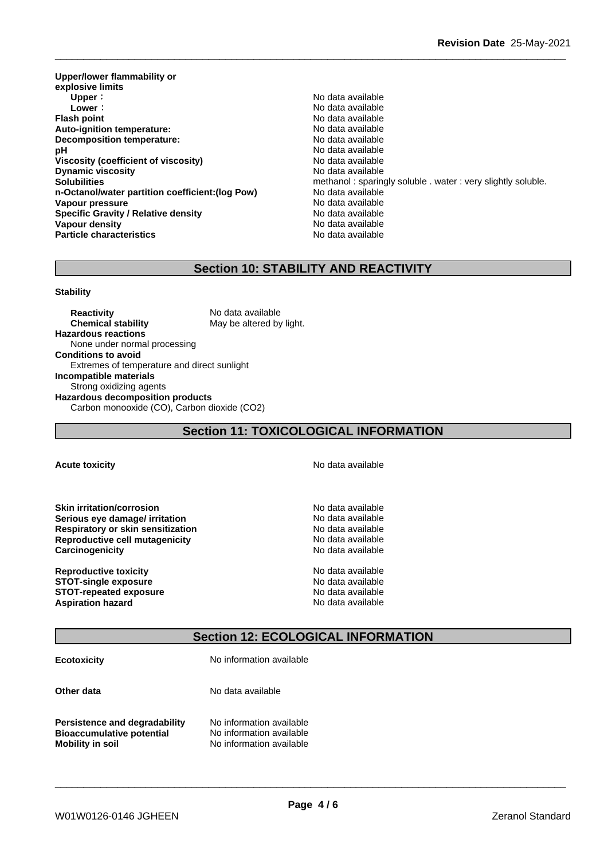**Upper/lower flammability or explosive limits Upper** : the contract of the contract of the contract of the contract of the contract of the contract of the contract of the contract of the contract of the contract of the contract of the contract of the contract of the **Lower** : **Lower** : **Constant Constant Constant Constant Constant Constant Constant Constant Constant Constant Constant Constant Constant Constant Constant Constant Constant Constant Constant Constant Constant Constant Con Auto-ignition temperature: Decomposition temperature:** No data available **pH**  $\blacksquare$  No data available **Viscosity (coefficient of viscosity)** No data available **Dynamic viscosity No data available n-Octanol/water partition coefficient:(log Pow)** No data available **Vapour pressure**<br> **Specific Gravity / Relative density**<br>
Specific Gravity / Relative density<br> **Specific Gravity / Relative density Specific Gravity / Relative density Vapour density No data available No data available No data available Particle characteristics** No data available

**Flash Available**<br>No data available **Solubilities Solubilities** methanol : sparingly soluble . water : very slightly soluble.

## **Section 10: STABILITY AND REACTIVITY**

#### **Stability**

**Reactivity** No data available **Chemical stability** May be altered by light. **Hazardous reactions** None under normal processing **Conditions to avoid** Extremes of temperature and direct sunlight **Incompatible materials** Strong oxidizing agents **Hazardous decomposition products** Carbon monooxide (CO), Carbon dioxide (CO2)

## **Section 11: TOXICOLOGICAL INFORMATION**

**Skin irritation/corrosion**<br> **Serious eve damage/ irritation**<br> **Serious eve damage/ irritation Serious** eve damage/ irritation **Respiratory or skin sensitization** No data available **Reproductive cell mutagenicity**<br> **Carcinogenicity**<br> **Carcinogenicity**<br> **Carcinogenicity Carcinogenicity** 

**Reproductive toxicity**<br> **STOT-single exposure**<br> **STOT-single exposure STOT-single exposure STOT-repeated exposure** No data available **Aspiration hazard Aspiration hazard No data available** 

**Acute toxicity Acute toxicity Acute has a structure in the structure of**  $\mathbb{R}^n$  **No data available** 

\_\_\_\_\_\_\_\_\_\_\_\_\_\_\_\_\_\_\_\_\_\_\_\_\_\_\_\_\_\_\_\_\_\_\_\_\_\_\_\_\_\_\_\_\_\_\_\_\_\_\_\_\_\_\_\_\_\_\_\_\_\_\_\_\_\_\_\_\_\_\_\_\_\_\_\_\_\_\_\_\_\_\_\_\_\_\_\_\_\_

## **Section 12: ECOLOGICAL INFORMATION**

| <b>Ecotoxicity</b>                                                                                  | No information available                                                         |  |
|-----------------------------------------------------------------------------------------------------|----------------------------------------------------------------------------------|--|
| Other data                                                                                          | No data available                                                                |  |
| <b>Persistence and degradability</b><br><b>Bioaccumulative potential</b><br><b>Mobility in soil</b> | No information available<br>No information available<br>No information available |  |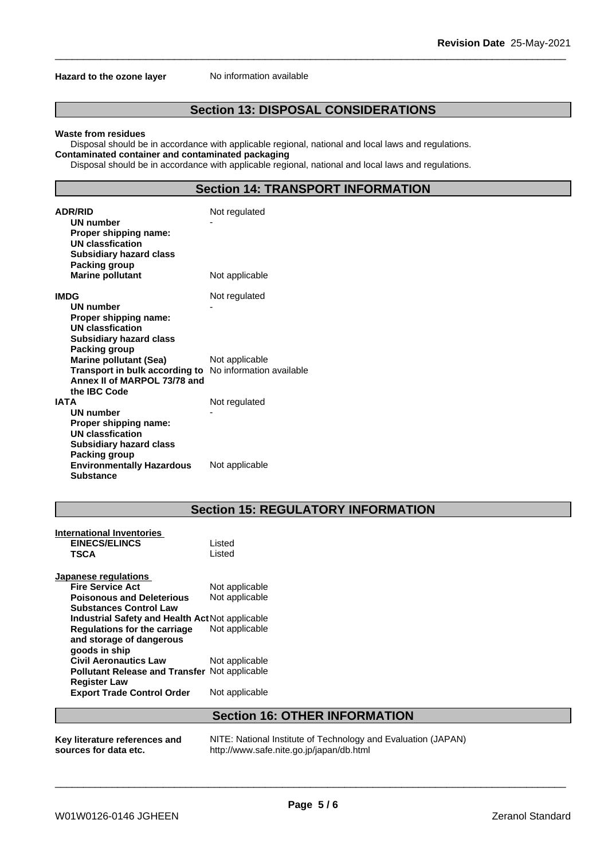#### **Hazard to the ozone layer** No information available

## **Section 13: DISPOSAL CONSIDERATIONS**

#### **Waste from residues**

Disposal should be in accordance with applicable regional, national and local laws and regulations. **Contaminated container and contaminated packaging**

Disposal should be in accordance with applicable regional, national and local laws and regulations.

## **Section 14: TRANSPORT INFORMATION**

| <b>ADR/RID</b><br><b>UN number</b><br>Proper shipping name:<br><b>UN classfication</b><br><b>Subsidiary hazard class</b><br>Packing group     | Not regulated  |
|-----------------------------------------------------------------------------------------------------------------------------------------------|----------------|
| <b>Marine pollutant</b>                                                                                                                       | Not applicable |
| <b>IMDG</b><br>UN number<br>Proper shipping name:<br><b>UN classfication</b><br><b>Subsidiary hazard class</b><br>Packing group               | Not regulated  |
| <b>Marine pollutant (Sea)</b><br>Transport in bulk according to No information available<br>Annex II of MARPOL 73/78 and<br>the IBC Code      | Not applicable |
| <b>IATA</b><br><b>UN number</b><br>Proper shipping name:<br><b>UN classfication</b><br><b>Subsidiary hazard class</b><br><b>Packing group</b> | Not regulated  |
| <b>Environmentally Hazardous</b><br><b>Substance</b>                                                                                          | Not applicable |

## **Section 15: REGULATORY INFORMATION**

| International Inventories                            |                |
|------------------------------------------------------|----------------|
| <b>EINECS/ELINCS</b>                                 | Listed         |
| <b>TSCA</b>                                          | Listed         |
| Japanese regulations                                 |                |
| <b>Fire Service Act</b>                              | Not applicable |
| <b>Poisonous and Deleterious</b>                     | Not applicable |
| <b>Substances Control Law</b>                        |                |
| Industrial Safety and Health Act Not applicable      |                |
| Regulations for the carriage                         | Not applicable |
| and storage of dangerous                             |                |
| goods in ship                                        |                |
| <b>Civil Aeronautics Law</b>                         | Not applicable |
| <b>Pollutant Release and Transfer Not applicable</b> |                |
| <b>Register Law</b>                                  |                |
| <b>Export Trade Control Order</b>                    | Not applicable |

## **Section 16: OTHER INFORMATION**

| Key literature references and | NI |
|-------------------------------|----|
| sources for data etc.         | ht |

**Key literature references and NITE: National Institute of Technology and Evaluation (JAPAN)<br><b>sources for data etc.** http://www.safe.nite.go.jp/japan/db.html tp://www.safe.nite.go.jp/japan/db.html